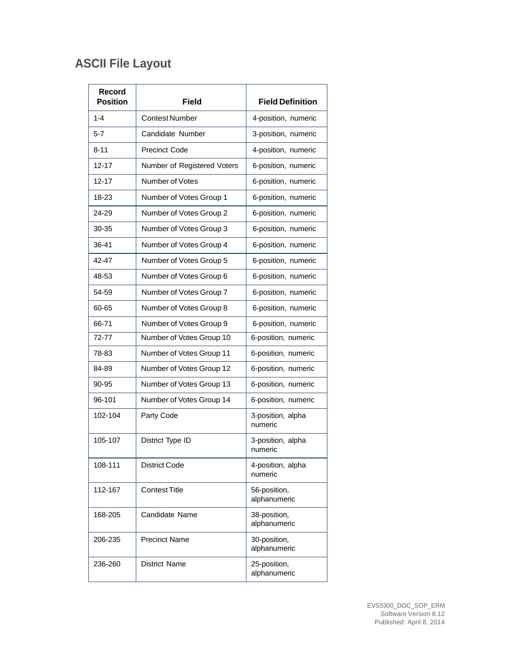## **ASCII File Layout**

| Record<br><b>Position</b> | <b>Field</b>                | <b>Field Definition</b>      |
|---------------------------|-----------------------------|------------------------------|
| $1 - 4$                   | <b>Contest Number</b>       | 4-position, numeric          |
| $5 - 7$                   | Candidate Number            | 3-position, numeric          |
| $8 - 11$                  | <b>Precinct Code</b>        | 4-position, numeric          |
| $12 - 17$                 | Number of Registered Voters | 6-position, numeric          |
| $12 - 17$                 | Number of Votes             | 6-position, numeric          |
| 18-23                     | Number of Votes Group 1     | 6-position, numeric          |
| 24-29                     | Number of Votes Group 2     | 6-position, numeric          |
| 30-35                     | Number of Votes Group 3     | 6-position, numeric          |
| 36-41                     | Number of Votes Group 4     | 6-position, numeric          |
| 42-47                     | Number of Votes Group 5     | 6-position, numeric          |
| 48-53                     | Number of Votes Group 6     | 6-position, numeric          |
| 54-59                     | Number of Votes Group 7     | 6-position, numeric          |
| 60-65                     | Number of Votes Group 8     | 6-position, numeric          |
| 66-71                     | Number of Votes Group 9     | 6-position, numeric          |
| 72-77                     | Number of Votes Group 10    | 6-position, numeric          |
| 78-83                     | Number of Votes Group 11    | 6-position, numeric          |
| 84-89                     | Number of Votes Group 12    | 6-position, numeric          |
| 90-95                     | Number of Votes Group 13    | 6-position, numeric          |
| 96-101                    | Number of Votes Group 14    | 6-position, numeric          |
| 102-104                   | Party Code                  | 3-position, alpha<br>numeric |
| 105-107                   | District Type ID            | 3-position, alpha<br>numeric |
| 108-111                   | <b>District Code</b>        | 4-position, alpha<br>numeric |
| 112-167                   | <b>Contest Title</b>        | 56-position,<br>alphanumeric |
| 168-205                   | Candidate Name              | 38-position,<br>alphanumeric |
| 206-235                   | <b>Precinct Name</b>        | 30-position,<br>alphanumeric |
| 236-260                   | District Name               | 25-position,<br>alphanumeric |